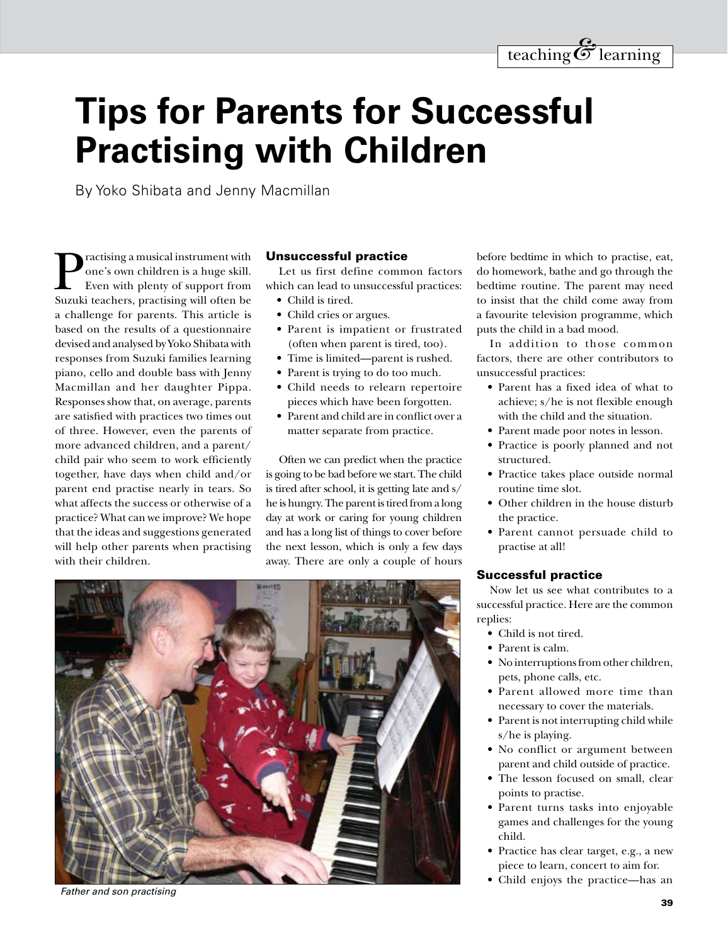# **Tips for Parents for Successful Practising with Children**

By Yoko Shibata and Jenny Macmillan

Practising a musical instrument with<br>
one's own children is a huge skill.<br>
Even with plenty of support from<br>
Suzuki teachers, practising will often be one's own children is a huge skill. Even with plenty of support from Suzuki teachers, practising will often be a challenge for parents. This article is based on the results of a questionnaire devised and analysed by Yoko Shibata with responses from Suzuki families learning piano, cello and double bass with Jenny Macmillan and her daughter Pippa. Responses show that, on average, parents are satisfied with practices two times out of three. However, even the parents of more advanced children, and a parent/ child pair who seem to work efficiently together, have days when child and/or parent end practise nearly in tears. So what affects the success or otherwise of a practice? What can we improve? We hope that the ideas and suggestions generated will help other parents when practising with their children.

#### Unsuccessful practice

Let us first define common factors which can lead to unsuccessful practices:

- Child is tired.
- Child cries or argues.
- • Parent is impatient or frustrated (often when parent is tired, too).
- Time is limited—parent is rushed.
- Parent is trying to do too much.
- • Child needs to relearn repertoire pieces which have been forgotten.
- • Parent and child are in conflict over a matter separate from practice.

Often we can predict when the practice is going to be bad before we start. The child is tired after school, it is getting late and s/ he is hungry. The parent is tired from a long day at work or caring for young children and has a long list of things to cover before the next lesson, which is only a few days away. There are only a couple of hours

before bedtime in which to practise, eat, do homework, bathe and go through the bedtime routine. The parent may need to insist that the child come away from a favourite television programme, which puts the child in a bad mood.

In addition to those common factors, there are other contributors to unsuccessful practices:

- • Parent has a fixed idea of what to achieve; s/he is not flexible enough with the child and the situation.
- Parent made poor notes in lesson.
- • Practice is poorly planned and not structured.
- • Practice takes place outside normal routine time slot.
- Other children in the house disturb the practice.
- • Parent cannot persuade child to practise at all!

#### Successful practice

Now let us see what contributes to a successful practice. Here are the common replies:

- Child is not tired.
- Parent is calm.
- • No interruptions from other children, pets, phone calls, etc.
- • Parent allowed more time than necessary to cover the materials.
- Parent is not interrupting child while s/he is playing.
- No conflict or argument between parent and child outside of practice.
- The lesson focused on small, clear points to practise.
- • Parent turns tasks into enjoyable games and challenges for the young child.
- • Practice has clear target, e.g., a new piece to learn, concert to aim for.
- Child enjoys the practice—has an



*Father and son practising*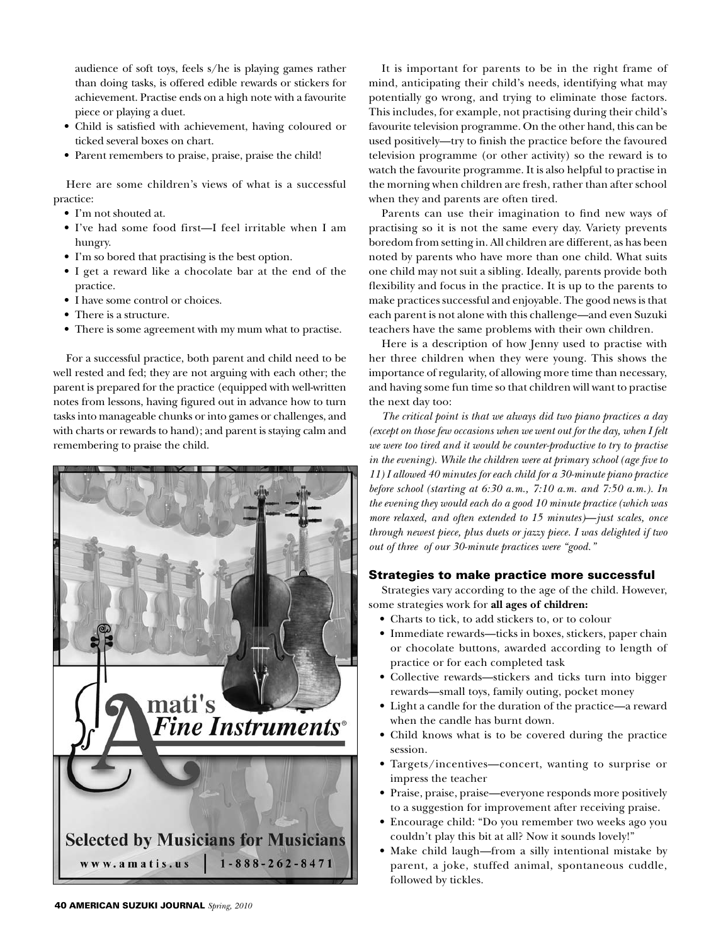audience of soft toys, feels s/he is playing games rather than doing tasks, is offered edible rewards or stickers for achievement. Practise ends on a high note with a favourite piece or playing a duet.

- • Child is satisfied with achievement, having coloured or ticked several boxes on chart.
- • Parent remembers to praise, praise, praise the child!

Here are some children's views of what is a successful practice:

- I'm not shouted at.
- I've had some food first—I feel irritable when I am hungry.
- I'm so bored that practising is the best option.
- • I get a reward like a chocolate bar at the end of the practice.
- I have some control or choices.
- There is a structure.
- There is some agreement with my mum what to practise.

For a successful practice, both parent and child need to be well rested and fed; they are not arguing with each other; the parent is prepared for the practice (equipped with well-written notes from lessons, having figured out in advance how to turn tasks into manageable chunks or into games or challenges, and with charts or rewards to hand); and parent is staying calm and remembering to praise the child.



It is important for parents to be in the right frame of mind, anticipating their child's needs, identifying what may potentially go wrong, and trying to eliminate those factors. This includes, for example, not practising during their child's favourite television programme. On the other hand, this can be used positively—try to finish the practice before the favoured television programme (or other activity) so the reward is to watch the favourite programme. It is also helpful to practise in the morning when children are fresh, rather than after school when they and parents are often tired.

Parents can use their imagination to find new ways of practising so it is not the same every day. Variety prevents boredom from setting in. All children are different, as has been noted by parents who have more than one child. What suits one child may not suit a sibling. Ideally, parents provide both flexibility and focus in the practice. It is up to the parents to make practices successful and enjoyable. The good news is that each parent is not alone with this challenge—and even Suzuki teachers have the same problems with their own children.

Here is a description of how Jenny used to practise with her three children when they were young. This shows the importance of regularity, of allowing more time than necessary, and having some fun time so that children will want to practise the next day too:

*The critical point is that we always did two piano practices a day (except on those few occasions when we went out for the day, when I felt we were too tired and it would be counter-productive to try to practise in the evening). While the children were at primary school (age five to 11) I allowed 40 minutes for each child for a 30-minute piano practice before school (starting at 6:30 a.m., 7:10 a.m. and 7:50 a.m.). In the evening they would each do a good 10 minute practice (which was more relaxed, and often extended to 15 minutes)*—*just scales, once through newest piece, plus duets or jazzy piece. I was delighted if two out of three of our 30-minute practices were "good."*

# Strategies to make practice more successful

Strategies vary according to the age of the child. However, some strategies work for **all ages of children:**

- Charts to tick, to add stickers to, or to colour
- Immediate rewards—ticks in boxes, stickers, paper chain or chocolate buttons, awarded according to length of practice or for each completed task
- • Collective rewards—stickers and ticks turn into bigger rewards—small toys, family outing, pocket money
- • Light a candle for the duration of the practice—a reward when the candle has burnt down.
- • Child knows what is to be covered during the practice session.
- • Targets/incentives—concert, wanting to surprise or impress the teacher
- • Praise, praise, praise—everyone responds more positively to a suggestion for improvement after receiving praise.
- • Encourage child: "Do you remember two weeks ago you couldn't play this bit at all? Now it sounds lovely!"
- Make child laugh—from a silly intentional mistake by parent, a joke, stuffed animal, spontaneous cuddle, followed by tickles.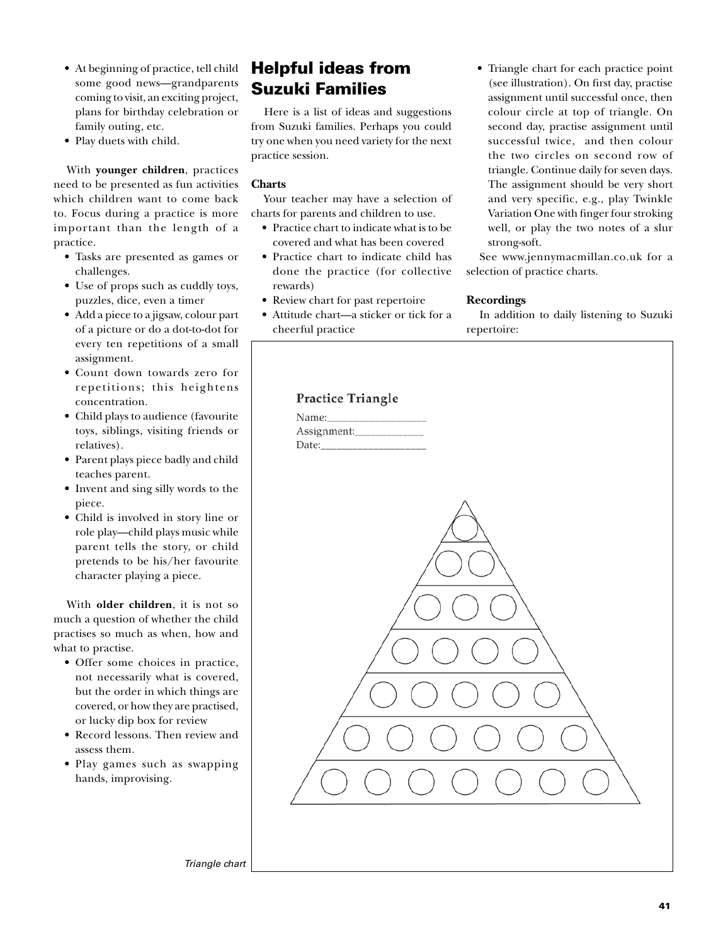- At beginning of practice, tell child some good news—grandparents coming to visit, an exciting project, plans for birthday celebration or family outing, etc.
- Play duets with child.

With **younger children**, practices need to be presented as fun activities which children want to come back to. Focus during a practice is more important than the length of a practice.

- • Tasks are presented as games or challenges.
- Use of props such as cuddly toys, puzzles, dice, even a timer
- • Add a piece to a jigsaw, colour part of a picture or do a dot-to-dot for every ten repetitions of a small assignment.
- • Count down towards zero for repetitions; this heightens concentration.
- • Child plays to audience (favourite toys, siblings, visiting friends or relatives).
- • Parent plays piece badly and child teaches parent.
- Invent and sing silly words to the piece.
- • Child is involved in story line or role play—child plays music while parent tells the story, or child pretends to be his/her favourite character playing a piece.

With **older children**, it is not so much a question of whether the child practises so much as when, how and what to practise.

- • Offer some choices in practice, not necessarily what is covered, but the order in which things are covered, or how they are practised, or lucky dip box for review
- Record lessons. Then review and assess them.
- Play games such as swapping hands, improvising.

# Helpful ideas from Suzuki Families

Here is a list of ideas and suggestions from Suzuki families. Perhaps you could try one when you need variety for the next practice session.

# **Charts**

Your teacher may have a selection of charts for parents and children to use.

- Practice chart to indicate what is to be covered and what has been covered
- Practice chart to indicate child has done the practice (for collective rewards)
- Review chart for past repertoire
- • Attitude chart—a sticker or tick for a cheerful practice
- Triangle chart for each practice point (see illustration). On first day, practise assignment until successful once, then colour circle at top of triangle. On second day, practise assignment until successful twice, and then colour the two circles on second row of triangle. Continue daily for seven days. The assignment should be very short and very specific, e.g., play Twinkle Variation One with finger four stroking well, or play the two notes of a slur strong-soft.

See www.jennymacmillan.co.uk for a selection of practice charts.

#### **Recordings**

In addition to daily listening to Suzuki repertoire:



*Triangle chart*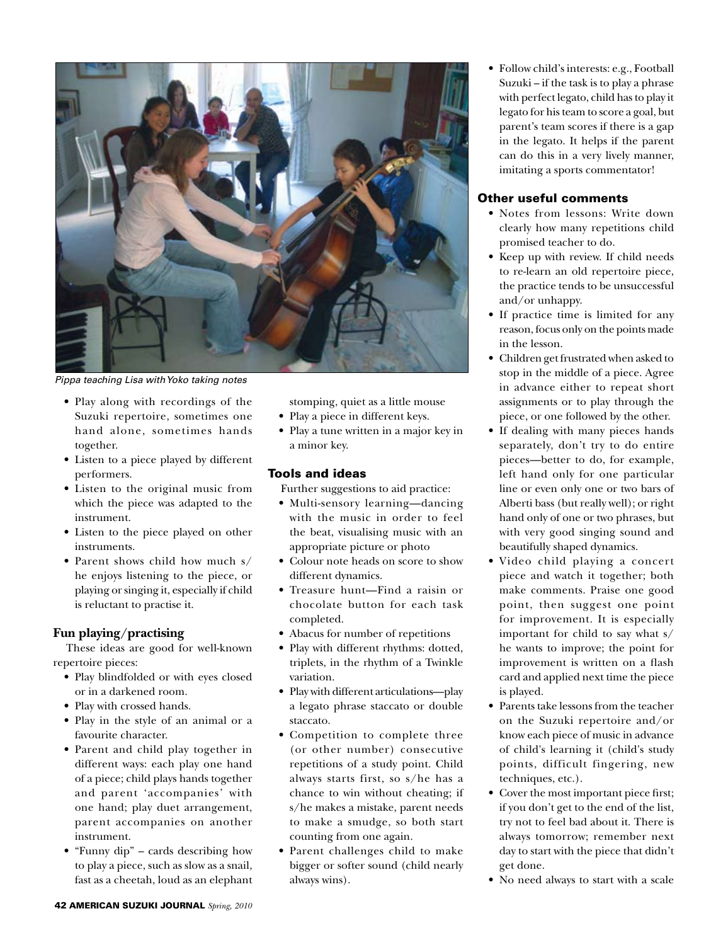

*Pippa teaching Lisa with Yoko taking notes*

- Play along with recordings of the Suzuki repertoire, sometimes one hand alone, sometimes hands together.
- • Listen to a piece played by different performers.
- Listen to the original music from which the piece was adapted to the instrument.
- • Listen to the piece played on other instruments.
- Parent shows child how much s/ he enjoys listening to the piece, or playing or singing it, especially if child is reluctant to practise it.

# **Fun playing/practising**

These ideas are good for well-known repertoire pieces:

- • Play blindfolded or with eyes closed or in a darkened room.
- • Play with crossed hands.
- • Play in the style of an animal or a favourite character.
- Parent and child play together in different ways: each play one hand of a piece; child plays hands together and parent 'accompanies' with one hand; play duet arrangement, parent accompanies on another instrument.
- "Funny dip" cards describing how to play a piece, such as slow as a snail, fast as a cheetah, loud as an elephant

stomping, quiet as a little mouse

- Play a piece in different keys.
- Play a tune written in a major key in a minor key.

# Tools and ideas

Further suggestions to aid practice:

- • Multi-sensory learning—dancing with the music in order to feel the beat, visualising music with an appropriate picture or photo
- • Colour note heads on score to show different dynamics.
- Treasure hunt—Find a raisin or chocolate button for each task completed.
- • Abacus for number of repetitions
- • Play with different rhythms: dotted, triplets, in the rhythm of a Twinkle variation.
- • Play with different articulations—play a legato phrase staccato or double staccato.
- • Competition to complete three (or other number) consecutive repetitions of a study point. Child always starts first, so s/he has a chance to win without cheating; if s/he makes a mistake, parent needs to make a smudge, so both start counting from one again.
- • Parent challenges child to make bigger or softer sound (child nearly always wins).

• Follow child's interests: e.g., Football Suzuki – if the task is to play a phrase with perfect legato, child has to play it legato for his team to score a goal, but parent's team scores if there is a gap in the legato. It helps if the parent can do this in a very lively manner, imitating a sports commentator!

# Other useful comments

- Notes from lessons: Write down clearly how many repetitions child promised teacher to do.
- • Keep up with review. If child needs to re-learn an old repertoire piece, the practice tends to be unsuccessful and/or unhappy.
- If practice time is limited for any reason, focus only on the points made in the lesson.
- • Children get frustrated when asked to stop in the middle of a piece. Agree in advance either to repeat short assignments or to play through the piece, or one followed by the other.
- If dealing with many pieces hands separately, don't try to do entire pieces—better to do, for example, left hand only for one particular line or even only one or two bars of Alberti bass (but really well); or right hand only of one or two phrases, but with very good singing sound and beautifully shaped dynamics.
- • Video child playing a concert piece and watch it together; both make comments. Praise one good point, then suggest one point for improvement. It is especially important for child to say what s/ he wants to improve; the point for improvement is written on a flash card and applied next time the piece is played.
- Parents take lessons from the teacher on the Suzuki repertoire and/or know each piece of music in advance of child's learning it (child's study points, difficult fingering, new techniques, etc.).
- • Cover the most important piece first; if you don't get to the end of the list, try not to feel bad about it. There is always tomorrow; remember next day to start with the piece that didn't get done.
- • No need always to start with a scale